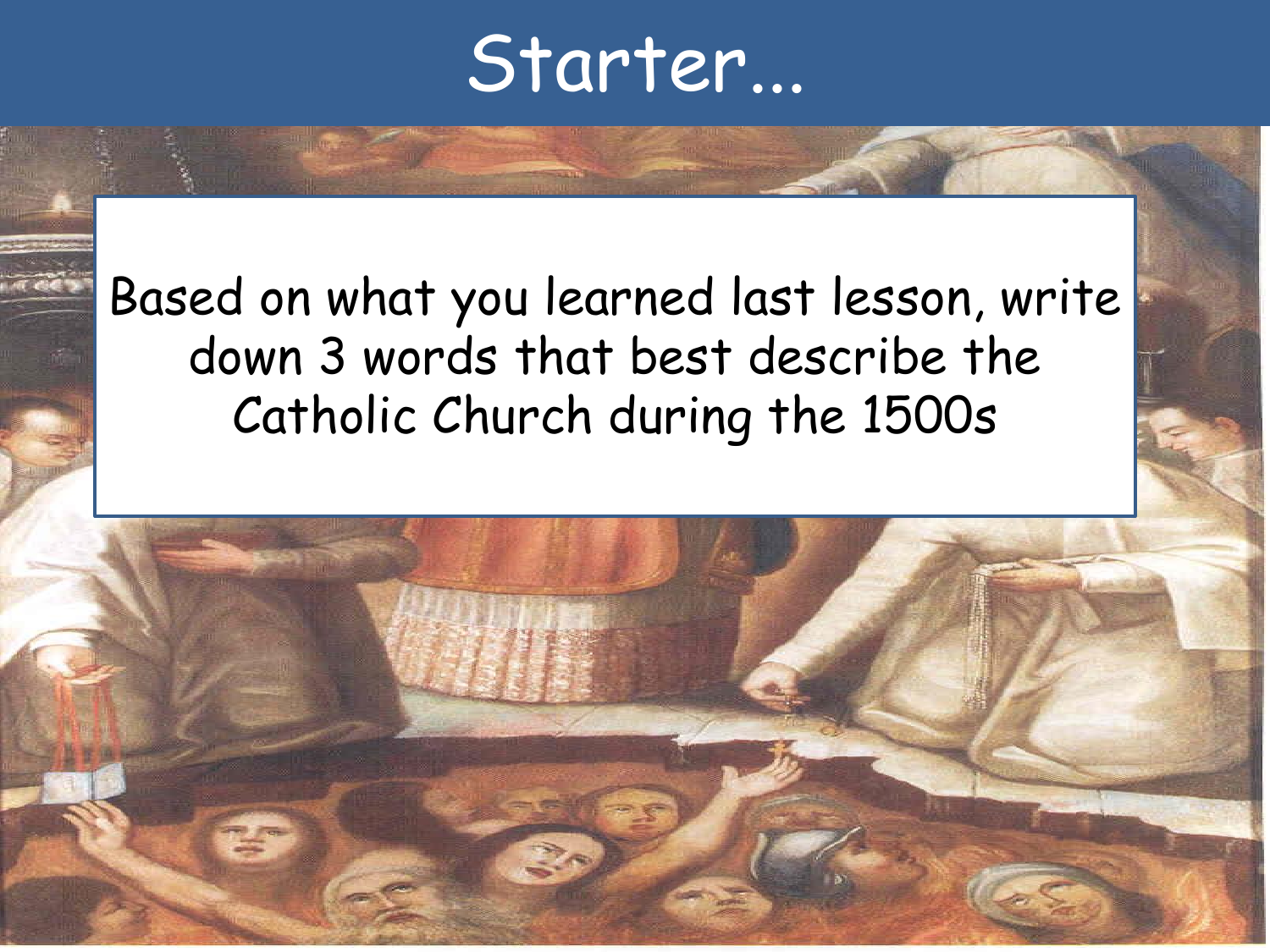## Starter...

#### Based on what you learned last lesson, write down 3 words that best describe the Catholic Church during the 1500s

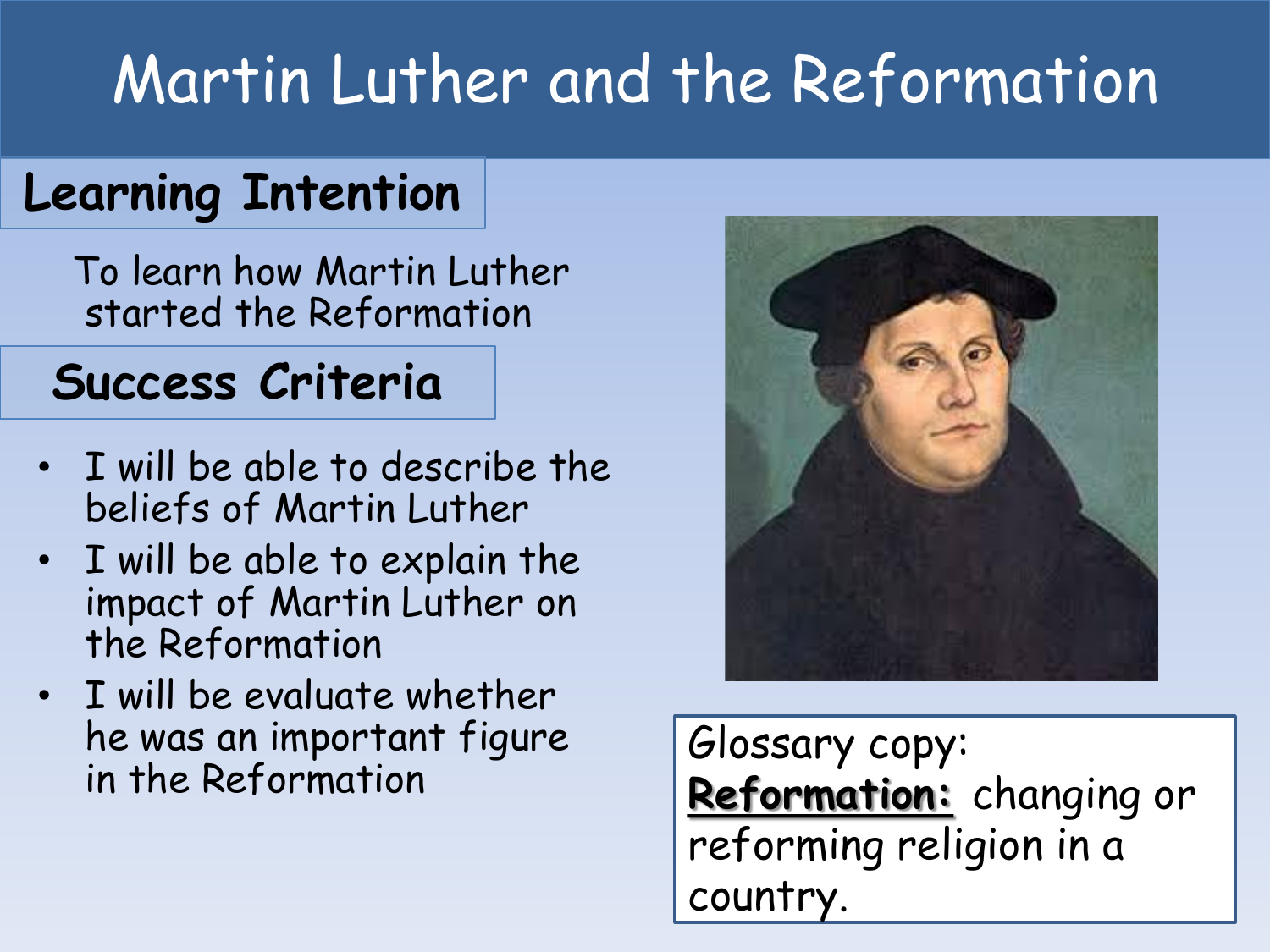## Martin Luther and the Reformation

#### **Learning Intention**

To learn how Martin Luther started the Reformation

#### **Success Criteria**

- I will be able to describe the beliefs of Martin Luther
- I will be able to explain the impact of Martin Luther on the Reformation
- I will be evaluate whether he was an important figure in the Reformation



Glossary copy: **Reformation:** changing or reforming religion in a country.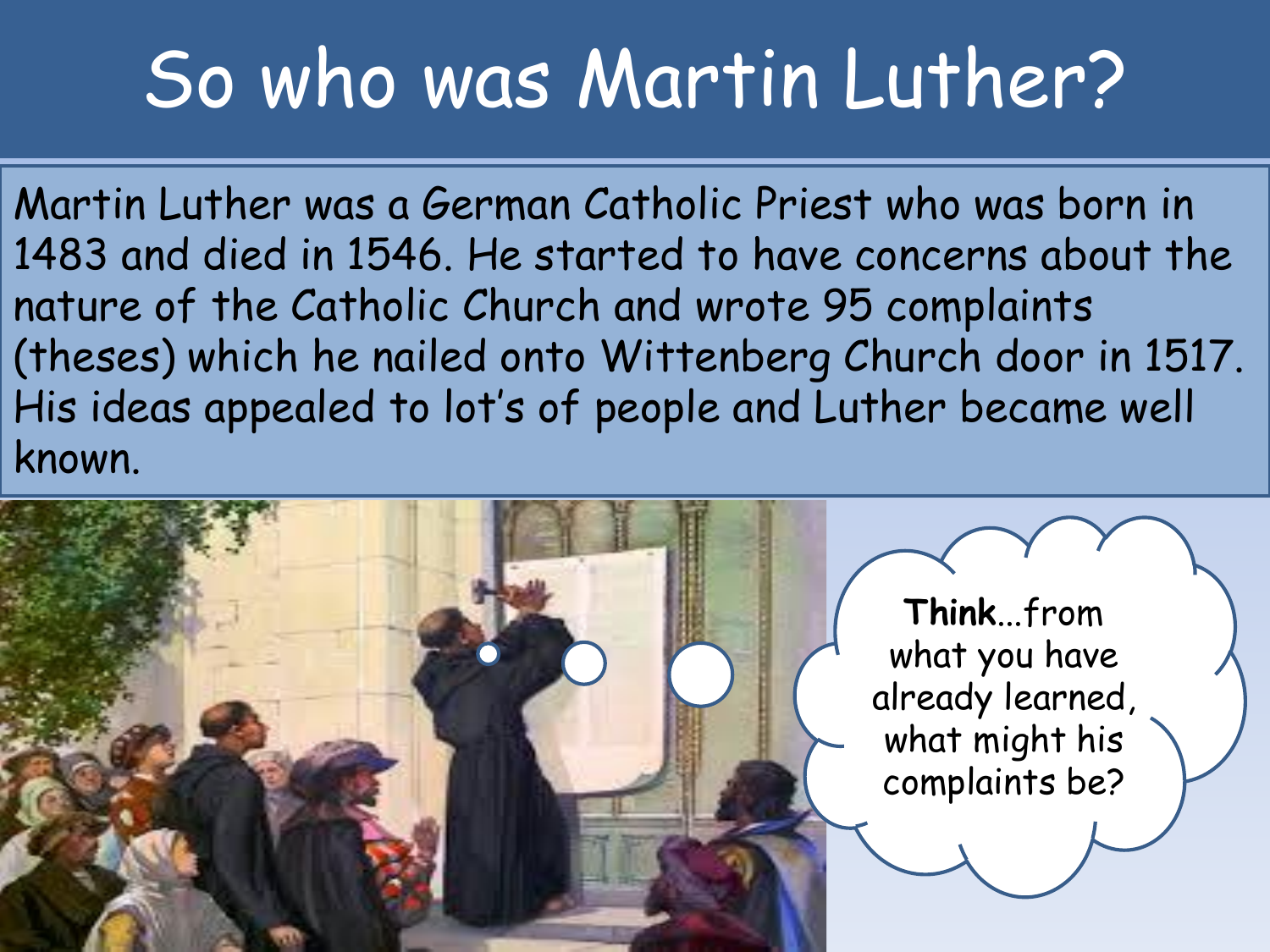# So who was Martin Luther?

Martin Luther was a German Catholic Priest who was born in 1483 and died in 1546. He started to have concerns about the nature of the Catholic Church and wrote 95 complaints (theses) which he nailed onto Wittenberg Church door in 1517. His ideas appealed to lot's of people and Luther became well known.

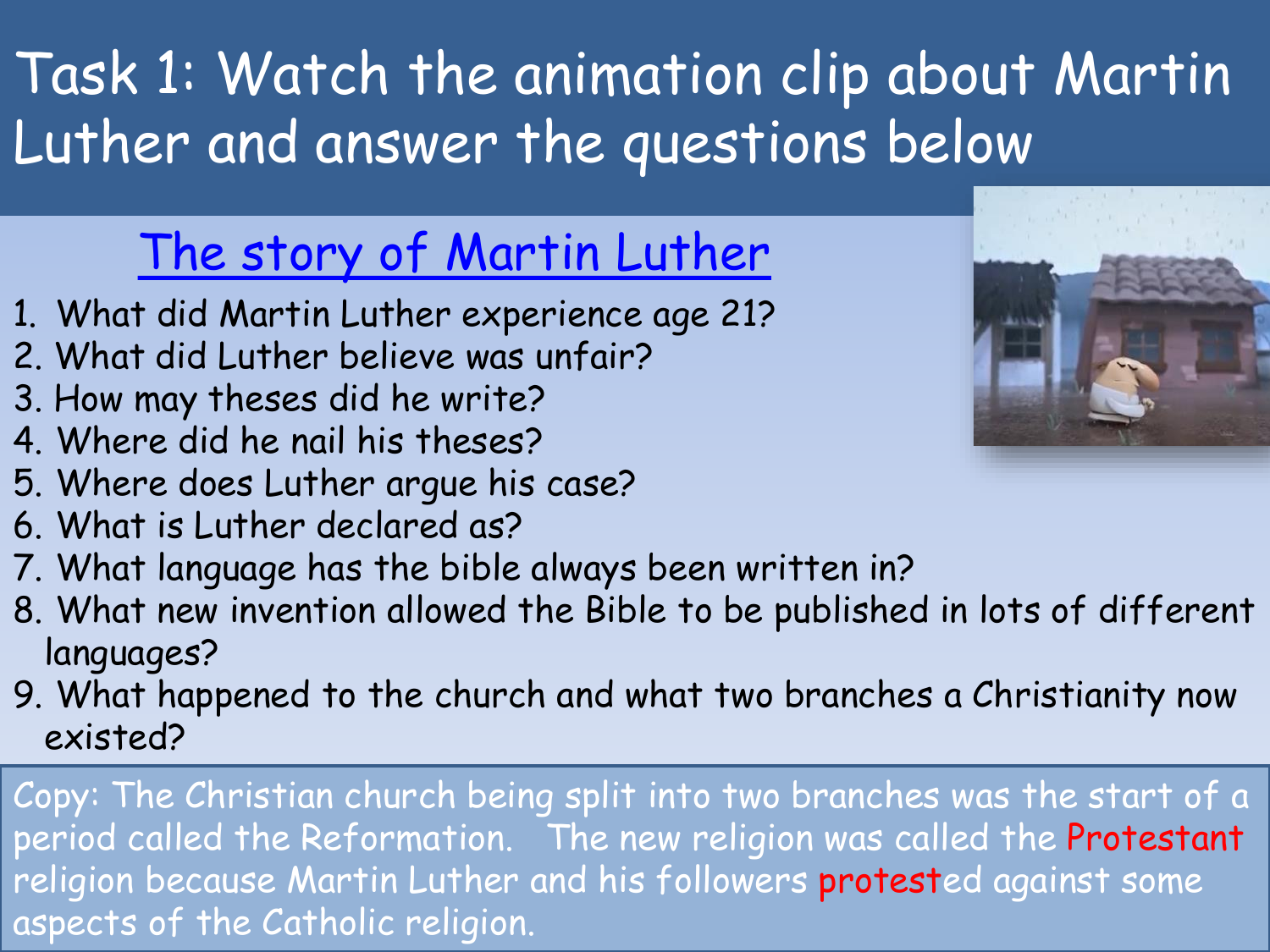### Task 1: Watch the animation clip about Martin Luther and answer the questions below

#### [The story of Martin Luther](https://www.youtube.com/watch?v=FhGGjRjvq7w)

- 1. What did Martin Luther experience age 21?
- 2. What did Luther believe was unfair?
- 3. How may theses did he write?
- 4. Where did he nail his theses?
- 5. Where does Luther argue his case?
- 6. What is Luther declared as?
- 7. What language has the bible always been written in?
- 8. What new invention allowed the Bible to be published in lots of different languages?
- 9. What happened to the church and what two branches a Christianity now existed?

Copy: The Christian church being split into two branches was the start of a period called the Reformation. The new religion was called the Protestant religion because Martin Luther and his followers protested against some aspects of the Catholic religion.

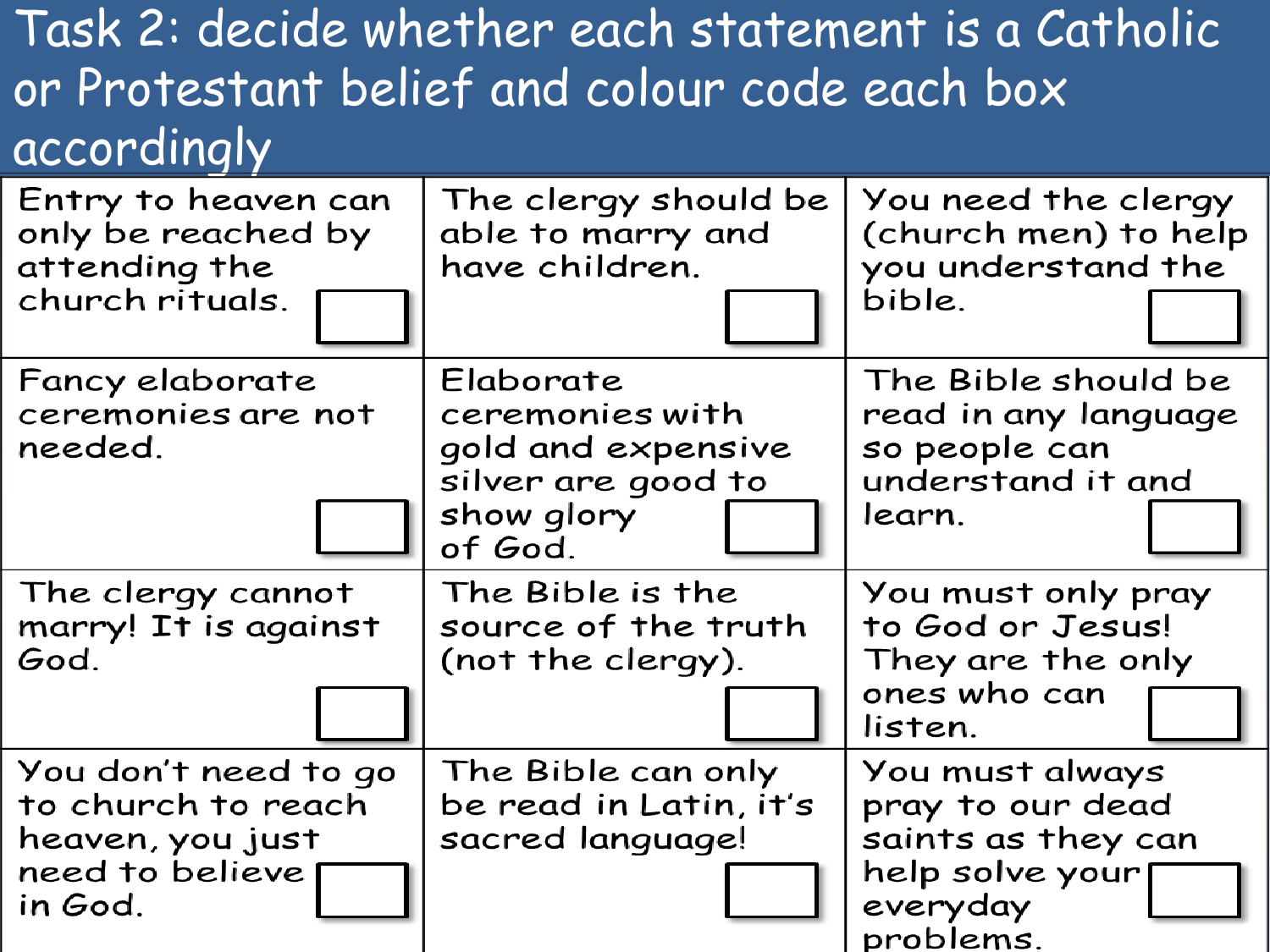#### Task 2: decide whether each statement is a Catholic or Protestant belief and colour code each box accordingly

| Entry to heaven can<br>only be reached by<br>attending the<br>church rituals.                | The clergy should be<br>able to marry and<br>have children.                                       | You need the clergy<br>(church men) to help<br>you understand the<br>bible.                           |
|----------------------------------------------------------------------------------------------|---------------------------------------------------------------------------------------------------|-------------------------------------------------------------------------------------------------------|
| Fancy elaborate<br>ceremonies are not<br>needed.                                             | Elaborate<br>ceremonies with<br>gold and expensive<br>silver are good to<br>show glory<br>of God. | The Bible should be<br>read in any language<br>so people can<br>understand it and<br>learn.           |
| The clergy cannot<br>marry! It is against<br>God.                                            | The Bible is the<br>source of the truth<br>(not the clergy).                                      | You must only pray<br>to God or Jesus!<br>They are the only<br>ones who can<br>listen.                |
| You don't need to go<br>to church to reach<br>heaven, you just<br>need to believe<br>in God. | The Bible can only<br>be read in Latin, it's<br>sacred language!                                  | You must always<br>pray to our dead<br>saints as they can<br>help solve your<br>everyday<br>problems. |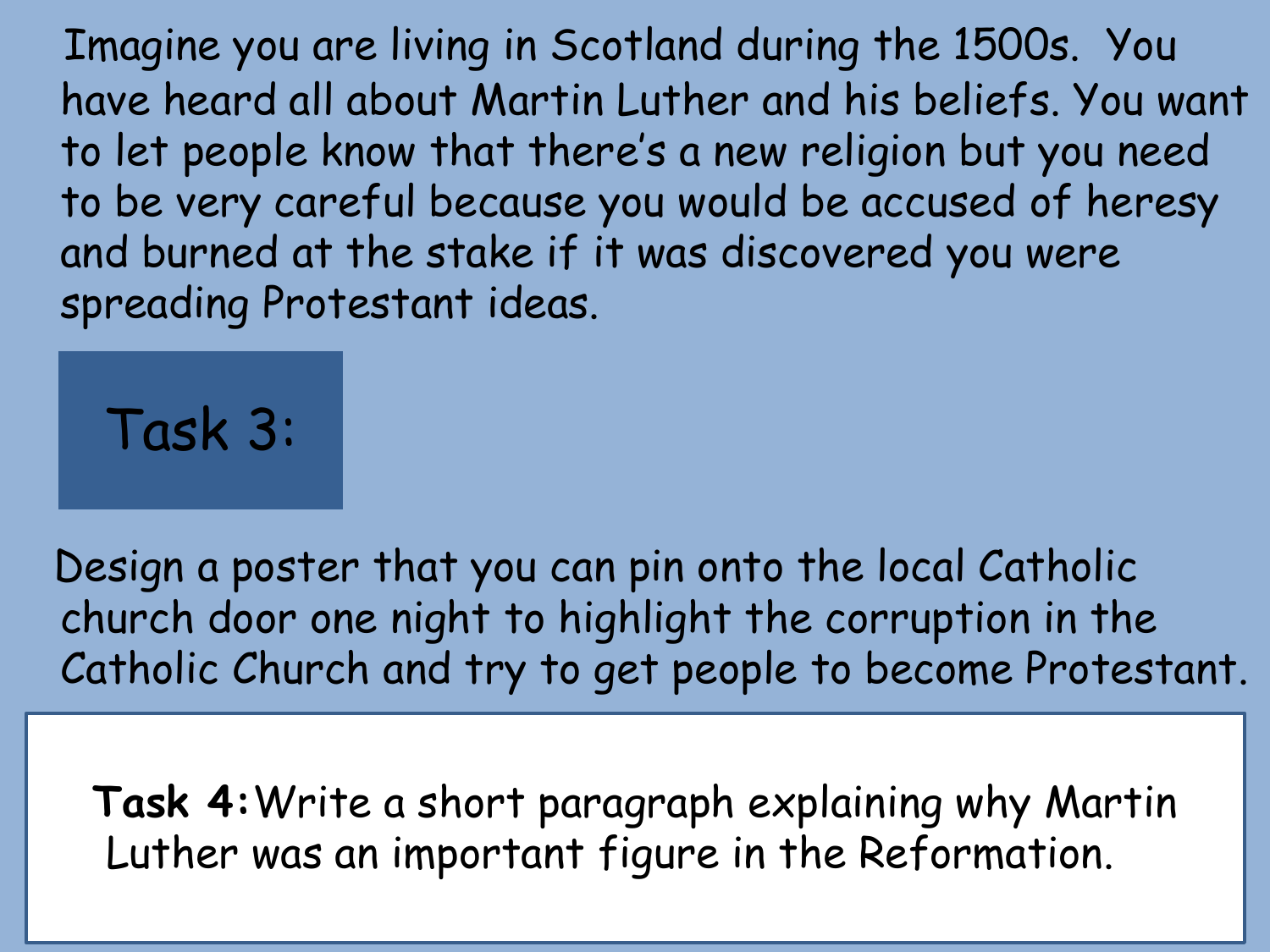Imagine you are living in Scotland during the 1500s. You have heard all about Martin Luther and his beliefs. You want to let people know that there's a new religion but you need to be very careful because you would be accused of heresy and burned at the stake if it was discovered you were spreading Protestant ideas.

Task 3:

Design a poster that you can pin onto the local Catholic church door one night to highlight the corruption in the Catholic Church and try to get people to become Protestant.

**Task 4:**Write a short paragraph explaining why Martin Luther was an important figure in the Reformation.